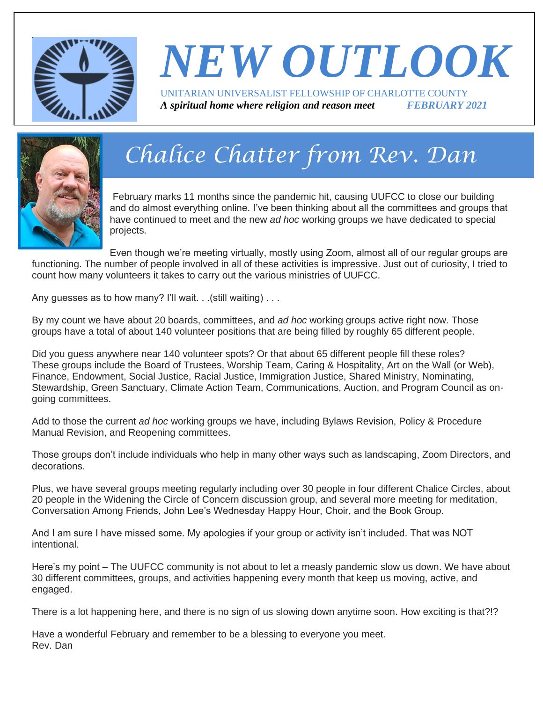

# *NEW OUTLOOK* UNITARIAN UNIVERSALIST FELLOWSHIP OF CHARLOTTE COUNTY

*A spiritual home where religion and reason meet FEBRUARY 2021*



# *Chalice Chatter from Rev. Dan*

February marks 11 months since the pandemic hit, causing UUFCC to close our building and do almost everything online. I've been thinking about all the committees and groups that have continued to meet and the new *ad hoc* working groups we have dedicated to special projects.

Even though we're meeting virtually, mostly using Zoom, almost all of our regular groups are functioning. The number of people involved in all of these activities is impressive. Just out of curiosity, I tried to count how many volunteers it takes to carry out the various ministries of UUFCC.

Any guesses as to how many? I'll wait. . . (still waiting) . . .

By my count we have about 20 boards, committees, and *ad hoc* working groups active right now. Those groups have a total of about 140 volunteer positions that are being filled by roughly 65 different people.

Did you guess anywhere near 140 volunteer spots? Or that about 65 different people fill these roles? These groups include the Board of Trustees, Worship Team, Caring & Hospitality, Art on the Wall (or Web), Finance, Endowment, Social Justice, Racial Justice, Immigration Justice, Shared Ministry, Nominating, Stewardship, Green Sanctuary, Climate Action Team, Communications, Auction, and Program Council as ongoing committees.

Add to those the current *ad hoc* working groups we have, including Bylaws Revision, Policy & Procedure Manual Revision, and Reopening committees.

Those groups don't include individuals who help in many other ways such as landscaping, Zoom Directors, and decorations.

Plus, we have several groups meeting regularly including over 30 people in four different Chalice Circles, about 20 people in the Widening the Circle of Concern discussion group, and several more meeting for meditation, Conversation Among Friends, John Lee's Wednesday Happy Hour, Choir, and the Book Group.

And I am sure I have missed some. My apologies if your group or activity isn't included. That was NOT intentional.

Here's my point – The UUFCC community is not about to let a measly pandemic slow us down. We have about 30 different committees, groups, and activities happening every month that keep us moving, active, and engaged.

There is a lot happening here, and there is no sign of us slowing down anytime soon. How exciting is that?!?

Have a wonderful February and remember to be a blessing to everyone you meet. Rev. Dan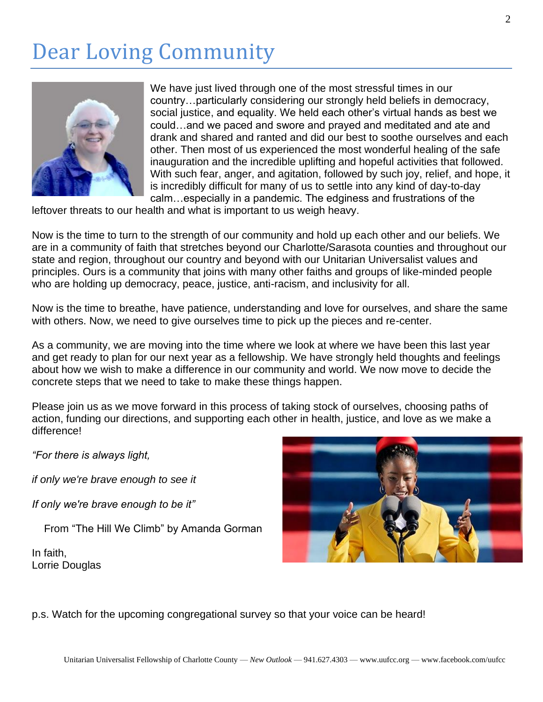## Dear Loving Community



We have just lived through one of the most stressful times in our country…particularly considering our strongly held beliefs in democracy, social justice, and equality. We held each other's virtual hands as best we could…and we paced and swore and prayed and meditated and ate and drank and shared and ranted and did our best to soothe ourselves and each other. Then most of us experienced the most wonderful healing of the safe inauguration and the incredible uplifting and hopeful activities that followed. With such fear, anger, and agitation, followed by such joy, relief, and hope, it is incredibly difficult for many of us to settle into any kind of day-to-day calm…especially in a pandemic. The edginess and frustrations of the

leftover threats to our health and what is important to us weigh heavy.

Now is the time to turn to the strength of our community and hold up each other and our beliefs. We are in a community of faith that stretches beyond our Charlotte/Sarasota counties and throughout our state and region, throughout our country and beyond with our Unitarian Universalist values and principles. Ours is a community that joins with many other faiths and groups of like-minded people who are holding up democracy, peace, justice, anti-racism, and inclusivity for all.

Now is the time to breathe, have patience, understanding and love for ourselves, and share the same with others. Now, we need to give ourselves time to pick up the pieces and re-center.

As a community, we are moving into the time where we look at where we have been this last year and get ready to plan for our next year as a fellowship. We have strongly held thoughts and feelings about how we wish to make a difference in our community and world. We now move to decide the concrete steps that we need to take to make these things happen.

Please join us as we move forward in this process of taking stock of ourselves, choosing paths of action, funding our directions, and supporting each other in health, justice, and love as we make a difference!

*"For there is always light,*

*if only we're brave enough to see it*

*If only we're brave enough to be it"*

From "The Hill We Climb" by Amanda Gorman

In faith, Lorrie Douglas



p.s. Watch for the upcoming congregational survey so that your voice can be heard!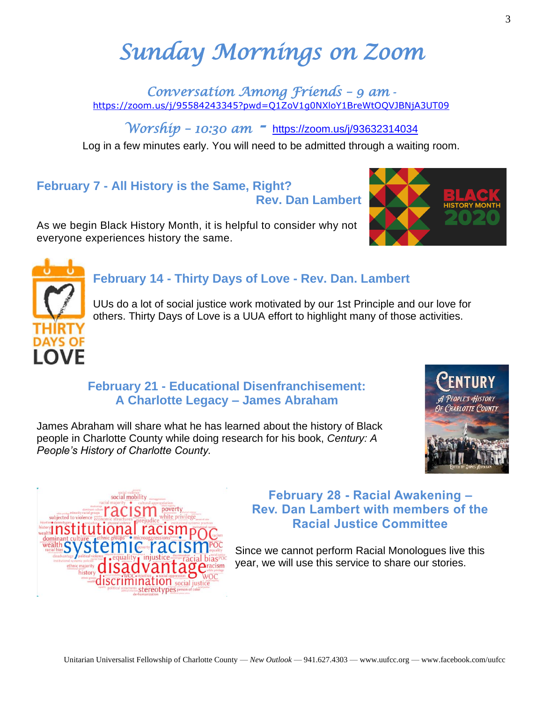# *Sunday Mornings on Zoom*

*Conversation Among Friends – 9 am*  <https://zoom.us/j/95584243345?pwd=Q1ZoV1g0NXloY1BreWtOQVJBNjA3UT09>

*Worship – 10:30 am -* <https://zoom.us/j/93632314034>

Log in a few minutes early. You will need to be admitted through a waiting room.

### **February 7 - All History is the Same, Right? Rev. Dan Lambert**

As we begin Black History Month, it is helpful to consider why not everyone experiences history the same.



UUs do a lot of social justice work motivated by our 1st Principle and our love for others. Thirty Days of Love is a UUA effort to highlight many of those activities.

### **February 21 - Educational Disenfranchisement: A Charlotte Legacy – James Abraham**

James Abraham will share what he has learned about the history of Black people in Charlotte County while doing research for his book, *Century: A People's History of Charlotte County.*



Since we cannot perform Racial Monologues live this year, we will use this service to share our stories.



3







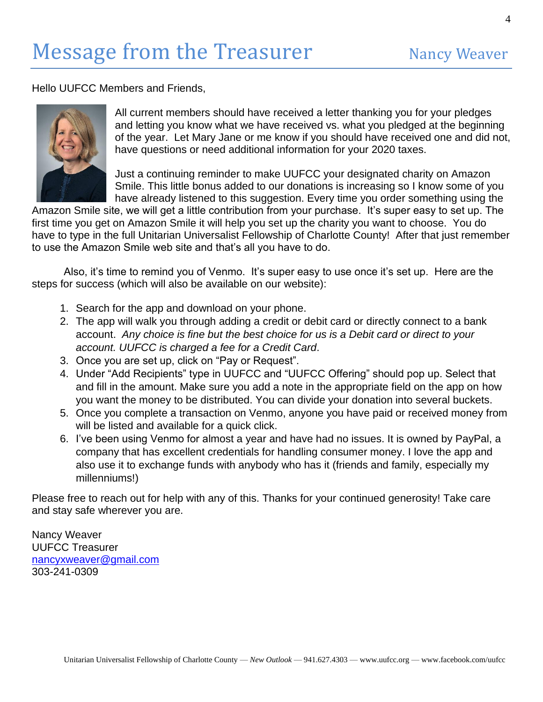Hello UUFCC Members and Friends,



All current members should have received a letter thanking you for your pledges and letting you know what we have received vs. what you pledged at the beginning of the year. Let Mary Jane or me know if you should have received one and did not, have questions or need additional information for your 2020 taxes.

Just a continuing reminder to make UUFCC your designated charity on Amazon Smile. This little bonus added to our donations is increasing so I know some of you have already listened to this suggestion. Every time you order something using the

Amazon Smile site, we will get a little contribution from your purchase. It's super easy to set up. The first time you get on Amazon Smile it will help you set up the charity you want to choose. You do have to type in the full Unitarian Universalist Fellowship of Charlotte County! After that just remember to use the Amazon Smile web site and that's all you have to do.

Also, it's time to remind you of Venmo. It's super easy to use once it's set up. Here are the steps for success (which will also be available on our website):

- 1. Search for the app and download on your phone.
- 2. The app will walk you through adding a credit or debit card or directly connect to a bank account. *Any choice is fine but the best choice for us is a Debit card or direct to your account. UUFCC is charged a fee for a Credit Card*.
- 3. Once you are set up, click on "Pay or Request".
- 4. Under "Add Recipients" type in UUFCC and "UUFCC Offering" should pop up. Select that and fill in the amount. Make sure you add a note in the appropriate field on the app on how you want the money to be distributed. You can divide your donation into several buckets.
- 5. Once you complete a transaction on Venmo, anyone you have paid or received money from will be listed and available for a quick click.
- 6. I've been using Venmo for almost a year and have had no issues. It is owned by PayPal, a company that has excellent credentials for handling consumer money. I love the app and also use it to exchange funds with anybody who has it (friends and family, especially my millenniums!)

Please free to reach out for help with any of this. Thanks for your continued generosity! Take care and stay safe wherever you are.

Nancy Weaver UUFCC Treasurer [nancyxweaver@gmail.com](mailto:nancyxweaver@gmail.com) 303-241-0309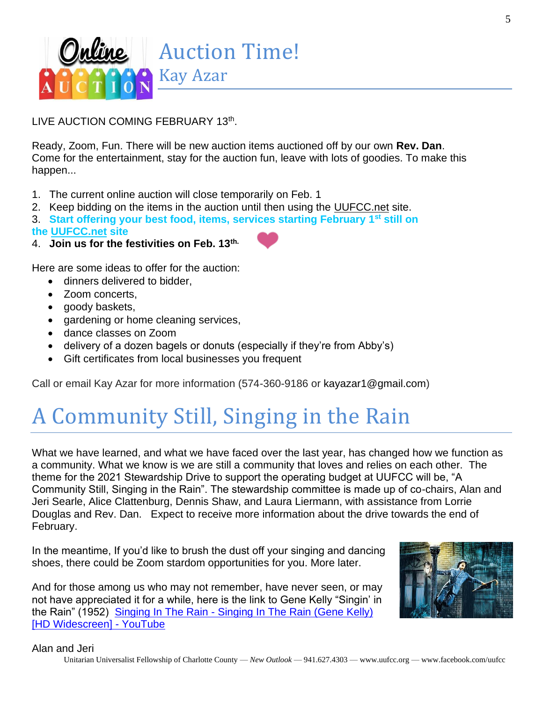

LIVE AUCTION COMING FEBRUARY 13th.

Ready, Zoom, Fun. There will be new auction items auctioned off by our own **Rev. Dan**. Come for the entertainment, stay for the auction fun, leave with lots of goodies. To make this happen...

- 1. The current online auction will close temporarily on Feb. 1
- 2. Keep bidding on the items in the auction until then using the UUFCC.net site.
- 3. **Start offering your best food, items, services starting February 1st still on**
- **the UUFCC.net site**
- 4. **Join us for the festivities on Feb. 13th.**

Here are some ideas to offer for the auction:

- dinners delivered to bidder,
- Zoom concerts,
- goody baskets,
- gardening or home cleaning services,
- dance classes on Zoom
- delivery of a dozen bagels or donuts (especially if they're from Abby's)
- Gift certificates from local businesses you frequent

Call or email Kay Azar for more information (574-360-9186 or kayazar1@gmail.com)

## A Community Still, Singing in the Rain

What we have learned, and what we have faced over the last year, has changed how we function as a community. What we know is we are still a community that loves and relies on each other. The theme for the 2021 Stewardship Drive to support the operating budget at UUFCC will be, "A Community Still, Singing in the Rain". The stewardship committee is made up of co-chairs, Alan and Jeri Searle, Alice Clattenburg, Dennis Shaw, and Laura Liermann, with assistance from Lorrie Douglas and Rev. Dan. Expect to receive more information about the drive towards the end of February.

In the meantime, If you'd like to brush the dust off your singing and dancing shoes, there could be Zoom stardom opportunities for you. More later.

And for those among us who may not remember, have never seen, or may not have appreciated it for a while, here is the link to Gene Kelly "Singin' in the Rain" (1952) Singing In The Rain - [Singing In The Rain \(Gene Kelly\)](https://www.youtube.com/watch?v=D1ZYhVpdXbQ)  [\[HD Widescreen\] -](https://www.youtube.com/watch?v=D1ZYhVpdXbQ) YouTube



#### Alan and Jeri

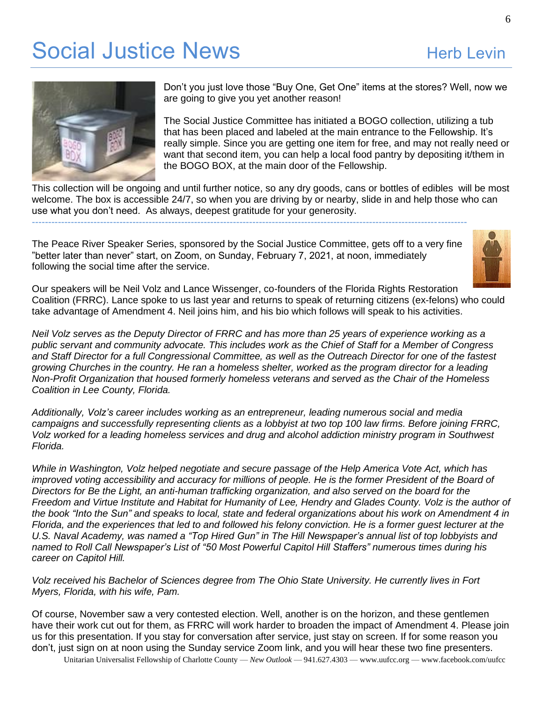### Social Justice News **Herb Levin**<br>
Herb Levin



Don't you just love those "Buy One, Get One" items at the stores? Well, now we are going to give you yet another reason!

The Social Justice Committee has initiated a BOGO collection, utilizing a tub that has been placed and labeled at the main entrance to the Fellowship. It's really simple. Since you are getting one item for free, and may not really need or want that second item, you can help a local food pantry by depositing it/them in the BOGO BOX, at the main door of the Fellowship.

This collection will be ongoing and until further notice, so any dry goods, cans or bottles of edibles will be most welcome. The box is accessible 24/7, so when you are driving by or nearby, slide in and help those who can use what you don't need. As always, deepest gratitude for your generosity. --------------------------------------------------------------------------------------------------------------------------------------

The Peace River Speaker Series, sponsored by the Social Justice Committee, gets off to a very fine "better later than never" start, on Zoom, on Sunday, February 7, 2021, at noon, immediately following the social time after the service.



Our speakers will be Neil Volz and Lance Wissenger, co-founders of the Florida Rights Restoration Coalition (FRRC). Lance spoke to us last year and returns to speak of returning citizens (ex-felons) who could take advantage of Amendment 4. Neil joins him, and his bio which follows will speak to his activities.

Neil Volz serves [a](https://creativecommons.org/licenses/by-sa/3.0/)s the Deputy Director of FRRC and has more than 25 years of experience working as a public servant and community advocate. This includes work as the Chief of Staff for a Member of Congress and Staff Director for a full Congressional Committee, as well as the Outreach Director for one of the fastest growing Churches in the country. He ran a homeless shelter, worked as the program director for a leading *Non-Profit Organization that housed formerly homeless veterans and served as the Chair of the Homeless Coalition in Lee County, Florida.*

*Additionally, Volz's career includes working as an entrepreneur, leading numerous social and media* campaigns and successfully representing clients as a lobbyist at two top 100 law firms. Before joining FRRC, *Volz worked for a leading homeless services and drug and alcohol addiction ministry program in Southwest Florida.*

*While in Washington, Volz helped negotiate and secure passage of the Help America Vote Act, which has* improved voting accessibility and accuracy for millions of people. He is the former President of the Board of *Directors for Be the Light, an anti-human trafficking organization, and also served on the board for the* Freedom and Virtue Institute and Habitat for Humanity of Lee, Hendry and Glades County. Volz is the author of the book "Into the Sun" and speaks to local, state and federal organizations about his work on Amendment 4 in Florida, and the experiences that led to and followed his felony conviction. He is a former quest lecturer at the U.S. Naval Academy, was named a "Top Hired Gun" in The Hill Newspaper's annual list of top lobbyists and *named to Roll Call Newspaper's List of "50 Most Powerful Capitol Hill Staffers" numerous times during his career on Capitol Hill.*

*Volz received his Bachelor of Sciences degree from The Ohio State University. He currently lives in Fort Myers, Florida, with his wife, Pam.*

Of course, November saw a very contested election. Well, another is on the horizon, and these gentlemen have their work cut out for them, as FRRC will work harder to broaden the impact of Amendment 4. Please join us for this presentation. If you stay for conversation after service, just stay on screen. If for some reason you don't, just sign on at noon using the Sunday service Zoom link, and you will hear these two fine presenters.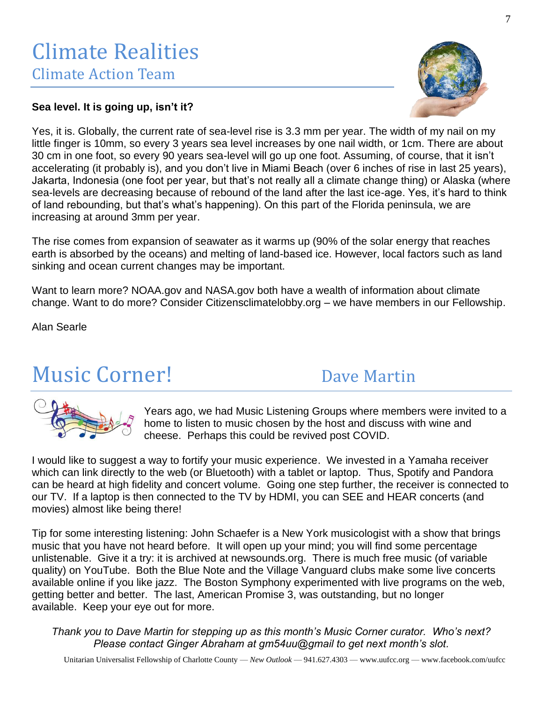### **Sea level. It is going up, isn't it?**

Yes, it is. Globally, the current rate of sea-level rise is 3.3 mm per year. The width of my nail on my little finger is 10mm, so every 3 years sea level increases by one nail width, or 1cm. There are about 30 cm in one foot, so every 90 years sea-level will go up one foot. Assuming, of course, that it isn't accelerating (it probably is), and you don't live in Miami Beach (over 6 inches of rise in last 25 years), Jakarta, Indonesia (one foot per year, but that's not really all a climate change thing) or Alaska (where sea-levels are decreasing because of rebound of the land after the last ice-age. Yes, it's hard to think of land rebounding, but that's what's happening). On this part of the Florida peninsula, we are increasing at around 3mm per year.

The rise comes from expansion of seawater as it warms up (90% of the solar energy that reaches earth is absorbed by the oceans) and melting of land-based ice. However, local factors such as land sinking and ocean current changes may be important.

Want to learn more? NOAA.gov and NASA.gov both have a wealth of information about climate change. Want to do more? Consider Citizensclimatelobby.org – we have members in our Fellowship.

Alan Searle

### Music Corner! Dave Martin

Years ago, we had Music Listening Groups where members were invited to a home to listen to music chosen by the host and discuss with wine and cheese. Perhaps this could be revived post COVID.

I would like to suggest a way to fortify your music experience. We invested in a Yamaha receiver which can link directly to the web (or Bluetooth) with a tablet or laptop. Thus, Spotify and Pandora can be heard at high fidelity and concert volume. Going one step further, the receiver is connected to our TV. If a laptop is then connected to the TV by HDMI, you can SEE and HEAR concerts (and movies) almost like being there!

Tip for some interesting listening: John Schaefer is a New York musicologist with a show that brings music that you have not heard before. It will open up your mind; you will find some percentage unlistenable. Give it a try: it is archived at newsounds.org. There is much free music (of variable quality) on YouTube. Both the Blue Note and the Village Vanguard clubs make some live concerts available online if you like jazz. The Boston Symphony experimented with live programs on the web, getting better and better. The last, American Promise 3, was outstanding, but no longer available. Keep your eye out for more.

*Thank you to Dave Martin for stepping up as this month's Music Corner curator. Who's next? Please contact Ginger Abraham at gm54uu@gmail to get next month's slot.*



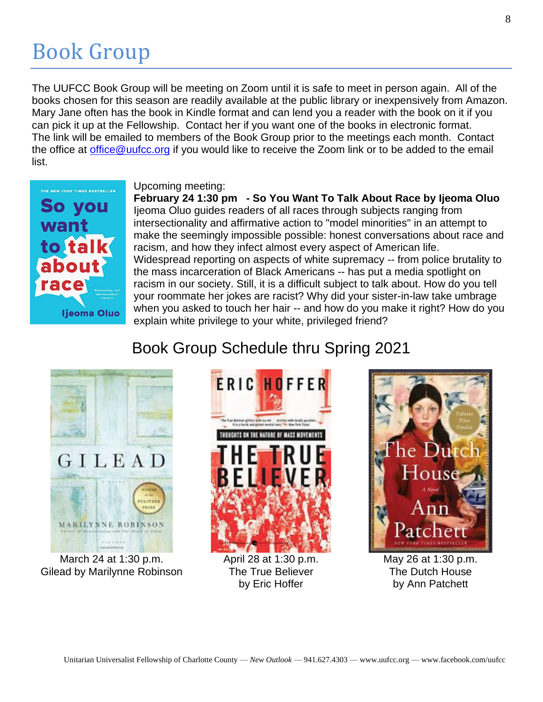## Book Group

The UUFCC Book Group will be meeting on Zoom until it is safe to meet in person again. All of the books chosen for this season are readily available at the public library or inexpensively from Amazon. Mary Jane often has the book in Kindle format and can lend you a reader with the book on it if you can pick it up at the Fellowship. Contact her if you want one of the books in electronic format. The link will be emailed to members of the Book Group prior to the meetings each month. Contact the office at [office@uufcc.org](mailto:office@uufcc.org) if you would like to receive the Zoom link or to be added to the email list.



### Upcoming meeting:

**February 24 1:30 pm - So You Want To Talk About Race by Ijeoma Oluo** Ijeoma Oluo guides readers of all races through subjects ranging from intersectionality and affirmative action to "model minorities" in an attempt to make the seemingly impossible possible: honest conversations about race and racism, and how they infect almost every aspect of American life. Widespread reporting on aspects of white supremacy -- from police brutality to the mass incarceration of Black Americans -- has put a media spotlight on racism in our society. Still, it is a difficult subject to talk about. How do you tell your roommate her jokes are racist? Why did your sister-in-law take umbrage when you asked to touch her hair -- and how do you make it right? How do you explain white privilege to your white, privileged friend?

### Book Group Schedule thru Spring 2021



March 24 at 1:30 p.m. Gilead by Marilynne Robinson



April 28 at 1:30 p.m. The True Believer by Eric Hoffer



May 26 at 1:30 p.m. The Dutch House by Ann Patchett